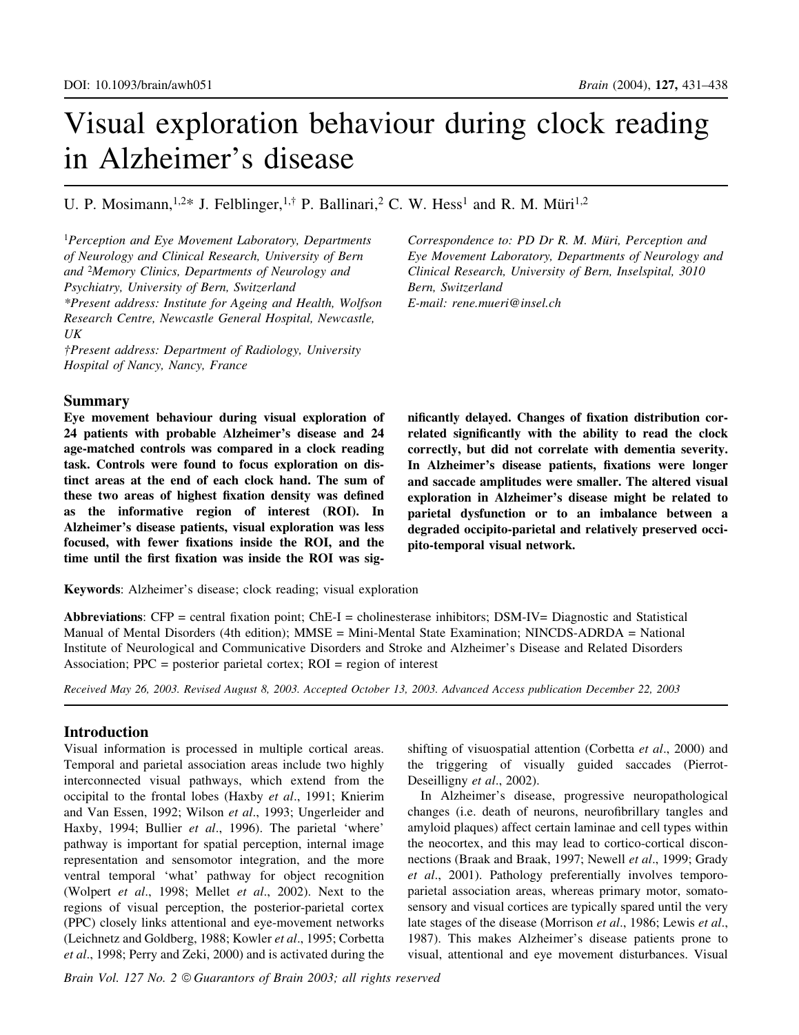# Visual exploration behaviour during clock reading in Alzheimer's disease

# U. P. Mosimann,  $1.2*$  J. Felblinger,  $1.†$  P. Ballinari, <sup>2</sup> C. W. Hess<sup>1</sup> and R. M. Müri<sup>1,2</sup>

<sup>1</sup>Perception and Eye Movement Laboratory, Departments of Neurology and Clinical Research, University of Bern and <sup>2</sup>Memory Clinics, Departments of Neurology and Psychiatry, University of Bern, Switzerland \*Present address: Institute for Ageing and Health, Wolfson Research Centre, Newcastle General Hospital, Newcastle, UK

²Present address: Department of Radiology, University Hospital of Nancy, Nancy, France

## Summary

Eye movement behaviour during visual exploration of 24 patients with probable Alzheimer's disease and 24 age-matched controls was compared in a clock reading task. Controls were found to focus exploration on distinct areas at the end of each clock hand. The sum of these two areas of highest fixation density was defined as the informative region of interest (ROI). In Alzheimer's disease patients, visual exploration was less focused, with fewer fixations inside the ROI, and the time until the first fixation was inside the ROI was sigCorrespondence to: PD Dr R. M. Müri, Perception and Eye Movement Laboratory, Departments of Neurology and Clinical Research, University of Bern, Inselspital, 3010 Bern, Switzerland E-mail: rene.mueri@insel.ch

nificantly delayed. Changes of fixation distribution correlated significantly with the ability to read the clock correctly, but did not correlate with dementia severity. In Alzheimer's disease patients, fixations were longer and saccade amplitudes were smaller. The altered visual exploration in Alzheimer's disease might be related to parietal dysfunction or to an imbalance between a degraded occipito-parietal and relatively preserved occipito-temporal visual network.

Keywords: Alzheimer's disease; clock reading; visual exploration

Abbreviations: CFP = central fixation point; ChE-I = cholinesterase inhibitors; DSM-IV= Diagnostic and Statistical Manual of Mental Disorders (4th edition); MMSE = Mini-Mental State Examination; NINCDS-ADRDA = National Institute of Neurological and Communicative Disorders and Stroke and Alzheimer's Disease and Related Disorders Association;  $PPC = posterior$  parietal cortex;  $ROI = region$  of interest

Received May 26, 2003. Revised August 8, 2003. Accepted October 13, 2003. Advanced Access publication December 22, 2003

## Introduction

Visual information is processed in multiple cortical areas. Temporal and parietal association areas include two highly interconnected visual pathways, which extend from the occipital to the frontal lobes (Haxby et al., 1991; Knierim and Van Essen, 1992; Wilson et al., 1993; Ungerleider and Haxby, 1994; Bullier et al., 1996). The parietal 'where' pathway is important for spatial perception, internal image representation and sensomotor integration, and the more ventral temporal `what' pathway for object recognition (Wolpert et al., 1998; Mellet et al., 2002). Next to the regions of visual perception, the posterior-parietal cortex (PPC) closely links attentional and eye-movement networks (Leichnetz and Goldberg, 1988; Kowler et al., 1995; Corbetta et al., 1998; Perry and Zeki, 2000) and is activated during the

Brain Vol. 127 No. 2 © Guarantors of Brain 2003; all rights reserved

shifting of visuospatial attention (Corbetta et al., 2000) and the triggering of visually guided saccades (Pierrot-Deseilligny et al., 2002).

In Alzheimer's disease, progressive neuropathological changes (i.e. death of neurons, neurofibrillary tangles and amyloid plaques) affect certain laminae and cell types within the neocortex, and this may lead to cortico-cortical disconnections (Braak and Braak, 1997; Newell et al., 1999; Grady et al., 2001). Pathology preferentially involves temporoparietal association areas, whereas primary motor, somatosensory and visual cortices are typically spared until the very late stages of the disease (Morrison et al., 1986; Lewis et al., 1987). This makes Alzheimer's disease patients prone to visual, attentional and eye movement disturbances. Visual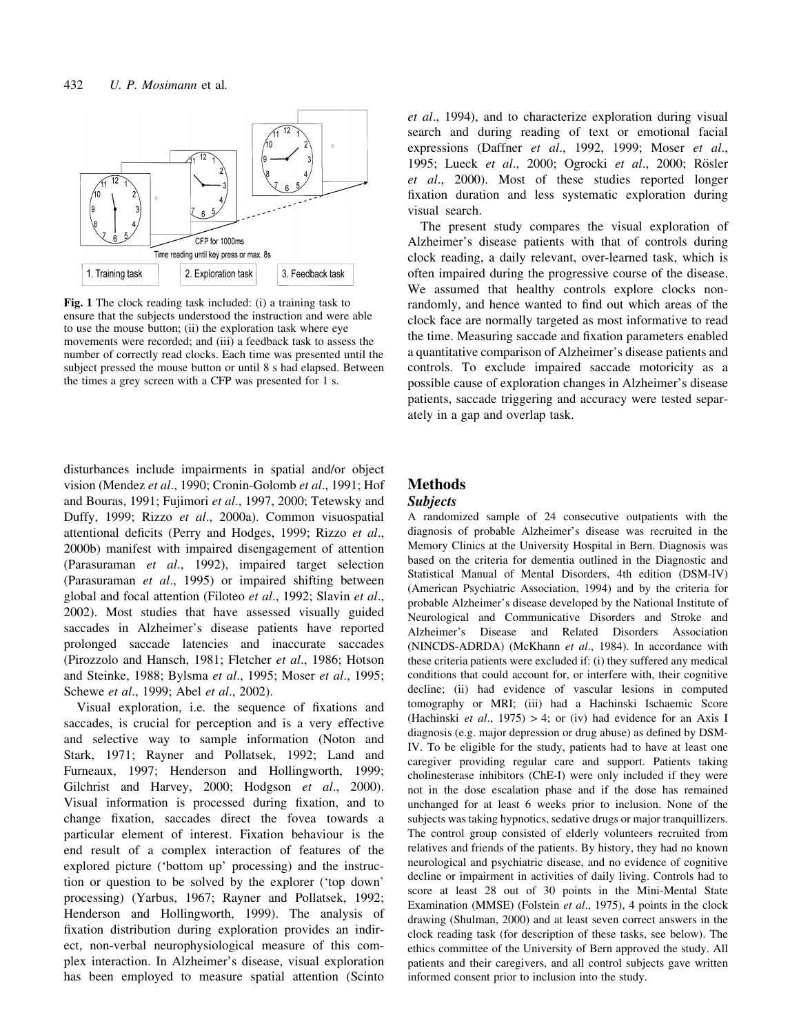

Fig. 1 The clock reading task included: (i) a training task to ensure that the subjects understood the instruction and were able to use the mouse button; (ii) the exploration task where eye movements were recorded; and (iii) a feedback task to assess the number of correctly read clocks. Each time was presented until the subject pressed the mouse button or until 8 s had elapsed. Between the times a grey screen with a CFP was presented for 1 s.

disturbances include impairments in spatial and/or object vision (Mendez et al., 1990; Cronin-Golomb et al., 1991; Hof and Bouras, 1991; Fujimori et al., 1997, 2000; Tetewsky and Duffy, 1999; Rizzo et al., 2000a). Common visuospatial attentional deficits (Perry and Hodges, 1999; Rizzo et al., 2000b) manifest with impaired disengagement of attention (Parasuraman et al., 1992), impaired target selection (Parasuraman et al., 1995) or impaired shifting between global and focal attention (Filoteo et al., 1992; Slavin et al., 2002). Most studies that have assessed visually guided saccades in Alzheimer's disease patients have reported prolonged saccade latencies and inaccurate saccades (Pirozzolo and Hansch, 1981; Fletcher et al., 1986; Hotson and Steinke, 1988; Bylsma et al., 1995; Moser et al., 1995; Schewe et al., 1999; Abel et al., 2002).

Visual exploration, i.e. the sequence of fixations and saccades, is crucial for perception and is a very effective and selective way to sample information (Noton and Stark, 1971; Rayner and Pollatsek, 1992; Land and Furneaux, 1997; Henderson and Hollingworth, 1999; Gilchrist and Harvey, 2000; Hodgson et al., 2000). Visual information is processed during fixation, and to change fixation, saccades direct the fovea towards a particular element of interest. Fixation behaviour is the end result of a complex interaction of features of the explored picture ('bottom up' processing) and the instruction or question to be solved by the explorer (`top down' processing) (Yarbus, 1967; Rayner and Pollatsek, 1992; Henderson and Hollingworth, 1999). The analysis of fixation distribution during exploration provides an indirect, non-verbal neurophysiological measure of this complex interaction. In Alzheimer's disease, visual exploration has been employed to measure spatial attention (Scinto

et al., 1994), and to characterize exploration during visual search and during reading of text or emotional facial expressions (Daffner et al., 1992, 1999; Moser et al., 1995; Lueck et al., 2000; Ogrocki et al., 2000; Rösler et al., 2000). Most of these studies reported longer fixation duration and less systematic exploration during visual search.

The present study compares the visual exploration of Alzheimer's disease patients with that of controls during clock reading, a daily relevant, over-learned task, which is often impaired during the progressive course of the disease. We assumed that healthy controls explore clocks nonrandomly, and hence wanted to find out which areas of the clock face are normally targeted as most informative to read the time. Measuring saccade and fixation parameters enabled a quantitative comparison of Alzheimer's disease patients and controls. To exclude impaired saccade motoricity as a possible cause of exploration changes in Alzheimer's disease patients, saccade triggering and accuracy were tested separately in a gap and overlap task.

## Methods

#### Subjects

A randomized sample of 24 consecutive outpatients with the diagnosis of probable Alzheimer's disease was recruited in the Memory Clinics at the University Hospital in Bern. Diagnosis was based on the criteria for dementia outlined in the Diagnostic and Statistical Manual of Mental Disorders, 4th edition (DSM-IV) (American Psychiatric Association, 1994) and by the criteria for probable Alzheimer's disease developed by the National Institute of Neurological and Communicative Disorders and Stroke and Alzheimer's Disease and Related Disorders Association (NINCDS-ADRDA) (McKhann et al., 1984). In accordance with these criteria patients were excluded if: (i) they suffered any medical conditions that could account for, or interfere with, their cognitive decline; (ii) had evidence of vascular lesions in computed tomography or MRI; (iii) had a Hachinski Ischaemic Score (Hachinski *et al.*, 1975) > 4; or (iv) had evidence for an Axis I diagnosis (e.g. major depression or drug abuse) as defined by DSM-IV. To be eligible for the study, patients had to have at least one caregiver providing regular care and support. Patients taking cholinesterase inhibitors (ChE-I) were only included if they were not in the dose escalation phase and if the dose has remained unchanged for at least 6 weeks prior to inclusion. None of the subjects was taking hypnotics, sedative drugs or major tranquillizers. The control group consisted of elderly volunteers recruited from relatives and friends of the patients. By history, they had no known neurological and psychiatric disease, and no evidence of cognitive decline or impairment in activities of daily living. Controls had to score at least 28 out of 30 points in the Mini-Mental State Examination (MMSE) (Folstein et al., 1975), 4 points in the clock drawing (Shulman, 2000) and at least seven correct answers in the clock reading task (for description of these tasks, see below). The ethics committee of the University of Bern approved the study. All patients and their caregivers, and all control subjects gave written informed consent prior to inclusion into the study.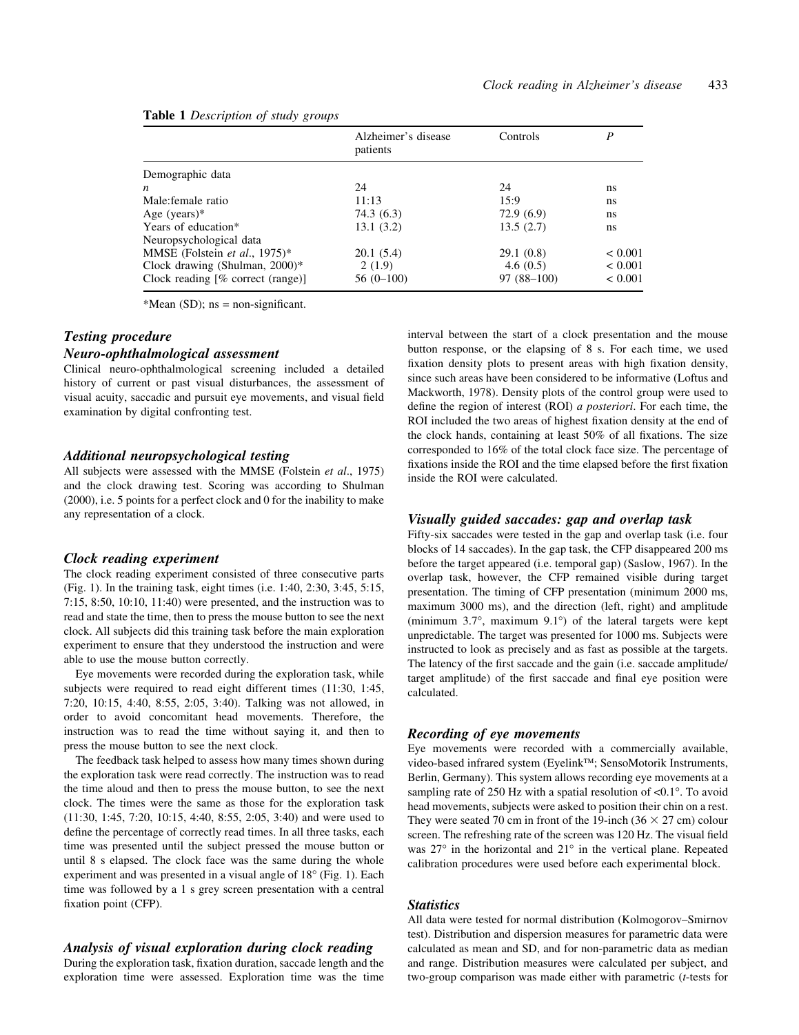#### Table 1 Description of study groups

| Alzheimer's disease<br>patients | Controls     | P           |  |  |  |  |  |
|---------------------------------|--------------|-------------|--|--|--|--|--|
|                                 |              |             |  |  |  |  |  |
| 24                              | 24           | ns          |  |  |  |  |  |
| 11:13                           | 15:9         | ns          |  |  |  |  |  |
| 74.3 (6.3)                      | 72.9(6.9)    | ns          |  |  |  |  |  |
| 13.1(3.2)                       | 13.5(2.7)    | ns          |  |  |  |  |  |
|                                 |              |             |  |  |  |  |  |
| 20.1(5.4)                       | 29.1(0.8)    | ${}< 0.001$ |  |  |  |  |  |
| 2(1.9)                          | 4.6(0.5)     | < 0.001     |  |  |  |  |  |
| $56(0-100)$                     | $97(88-100)$ | ${}< 0.001$ |  |  |  |  |  |
|                                 |              |             |  |  |  |  |  |

\*Mean (SD);  $ns = non-significant$ .

#### Testing procedure

#### Neuro-ophthalmological assessment

Clinical neuro-ophthalmological screening included a detailed history of current or past visual disturbances, the assessment of visual acuity, saccadic and pursuit eye movements, and visual field examination by digital confronting test.

#### Additional neuropsychological testing

All subjects were assessed with the MMSE (Folstein et al., 1975) and the clock drawing test. Scoring was according to Shulman (2000), i.e. 5 points for a perfect clock and 0 for the inability to make any representation of a clock.

#### Clock reading experiment

The clock reading experiment consisted of three consecutive parts (Fig. 1). In the training task, eight times (i.e. 1:40, 2:30, 3:45, 5:15, 7:15, 8:50, 10:10, 11:40) were presented, and the instruction was to read and state the time, then to press the mouse button to see the next clock. All subjects did this training task before the main exploration experiment to ensure that they understood the instruction and were able to use the mouse button correctly.

Eye movements were recorded during the exploration task, while subjects were required to read eight different times (11:30, 1:45, 7:20, 10:15, 4:40, 8:55, 2:05, 3:40). Talking was not allowed, in order to avoid concomitant head movements. Therefore, the instruction was to read the time without saying it, and then to press the mouse button to see the next clock.

The feedback task helped to assess how many times shown during the exploration task were read correctly. The instruction was to read the time aloud and then to press the mouse button, to see the next clock. The times were the same as those for the exploration task (11:30, 1:45, 7:20, 10:15, 4:40, 8:55, 2:05, 3:40) and were used to define the percentage of correctly read times. In all three tasks, each time was presented until the subject pressed the mouse button or until 8 s elapsed. The clock face was the same during the whole experiment and was presented in a visual angle of 18° (Fig. 1). Each time was followed by a 1 s grey screen presentation with a central fixation point (CFP).

#### Analysis of visual exploration during clock reading

During the exploration task, fixation duration, saccade length and the exploration time were assessed. Exploration time was the time interval between the start of a clock presentation and the mouse button response, or the elapsing of 8 s. For each time, we used fixation density plots to present areas with high fixation density, since such areas have been considered to be informative (Loftus and Mackworth, 1978). Density plots of the control group were used to define the region of interest (ROI)  $a$  posteriori. For each time, the ROI included the two areas of highest fixation density at the end of the clock hands, containing at least  $50\%$  of all fixations. The size corresponded to 16% of the total clock face size. The percentage of fixations inside the ROI and the time elapsed before the first fixation inside the ROI were calculated.

#### Visually guided saccades: gap and overlap task

Fifty-six saccades were tested in the gap and overlap task (i.e. four blocks of 14 saccades). In the gap task, the CFP disappeared 200 ms before the target appeared (i.e. temporal gap) (Saslow, 1967). In the overlap task, however, the CFP remained visible during target presentation. The timing of CFP presentation (minimum 2000 ms, maximum 3000 ms), and the direction (left, right) and amplitude (minimum 3.7°, maximum 9.1°) of the lateral targets were kept unpredictable. The target was presented for 1000 ms. Subjects were instructed to look as precisely and as fast as possible at the targets. The latency of the first saccade and the gain (i.e. saccade amplitude/ target amplitude) of the first saccade and final eye position were calculated.

#### Recording of eye movements

Eye movements were recorded with a commercially available, video-based infrared system (Eyelink™; SensoMotorik Instruments, Berlin, Germany). This system allows recording eye movements at a sampling rate of 250 Hz with a spatial resolution of <0.1°. To avoid head movements, subjects were asked to position their chin on a rest. They were seated 70 cm in front of the 19-inch ( $36 \times 27$  cm) colour screen. The refreshing rate of the screen was 120 Hz. The visual field was 27° in the horizontal and 21° in the vertical plane. Repeated calibration procedures were used before each experimental block.

## **Statistics**

All data were tested for normal distribution (Kolmogorov-Smirnov test). Distribution and dispersion measures for parametric data were calculated as mean and SD, and for non-parametric data as median and range. Distribution measures were calculated per subject, and two-group comparison was made either with parametric  $(t$ -tests for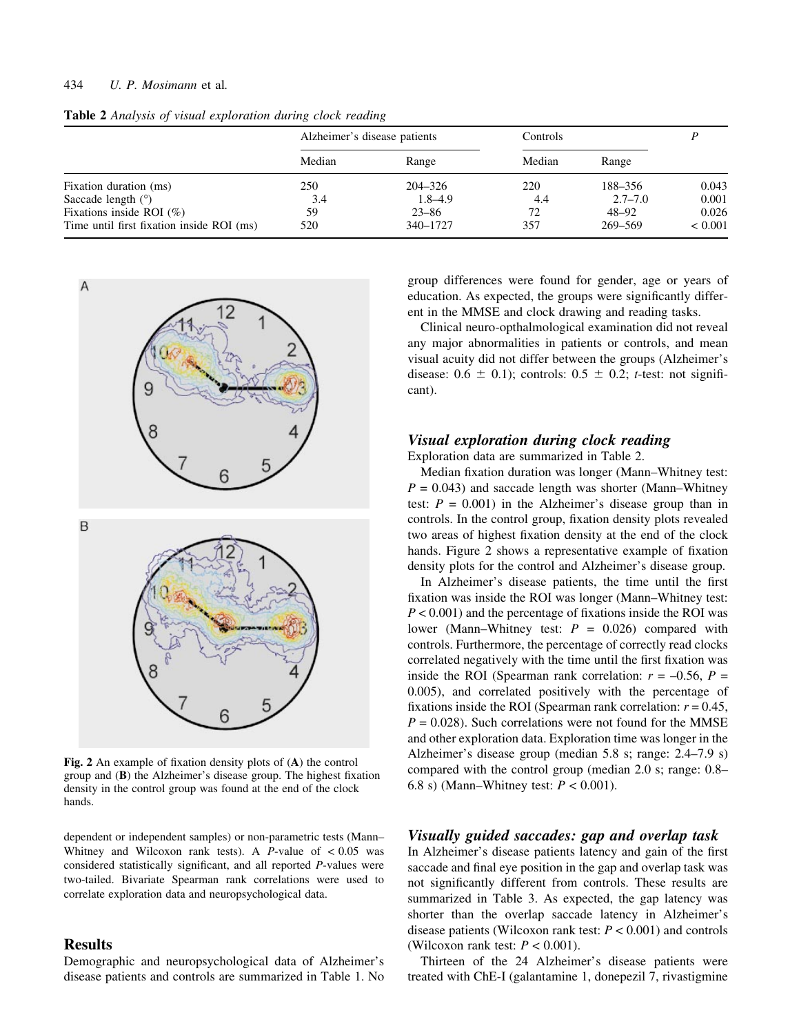## 434 U. P. Mosimann et al.

|                                           | Alzheimer's disease patients |             | Controls |             |             |
|-------------------------------------------|------------------------------|-------------|----------|-------------|-------------|
|                                           | Median                       | Range       | Median   | Range       |             |
| Fixation duration (ms)                    | 250                          | 204–326     | 220      | 188-356     | 0.043       |
| Saccade length $(°)$                      | 3.4                          | $1.8 - 4.9$ | 4.4      | $2.7 - 7.0$ | 0.001       |
| Fixations inside ROI $(\%)$               | 59                           | $23 - 86$   | 72       | 48–92       | 0.026       |
| Time until first fixation inside ROI (ms) | 520                          | 340-1727    | 357      | 269-569     | ${}< 0.001$ |

Table 2 Analysis of visual exploration during clock reading



Fig. 2 An example of fixation density plots of  $(A)$  the control group and  $(B)$  the Alzheimer's disease group. The highest fixation density in the control group was found at the end of the clock hands.

dependent or independent samples) or non-parametric tests (Mann-Whitney and Wilcoxon rank tests). A  $P$ -value of  $< 0.05$  was considered statistically significant, and all reported  $P$ -values were two-tailed. Bivariate Spearman rank correlations were used to correlate exploration data and neuropsychological data.

## **Results**

Demographic and neuropsychological data of Alzheimer's disease patients and controls are summarized in Table 1. No group differences were found for gender, age or years of education. As expected, the groups were significantly different in the MMSE and clock drawing and reading tasks.

Clinical neuro-opthalmological examination did not reveal any major abnormalities in patients or controls, and mean visual acuity did not differ between the groups (Alzheimer's disease:  $0.6 \pm 0.1$ ; controls:  $0.5 \pm 0.2$ ; t-test: not significant).

## Visual exploration during clock reading

Exploration data are summarized in Table 2.

Median fixation duration was longer (Mann–Whitney test:  $P = 0.043$ ) and saccade length was shorter (Mann-Whitney test:  $P = 0.001$ ) in the Alzheimer's disease group than in controls. In the control group, fixation density plots revealed two areas of highest fixation density at the end of the clock hands. Figure 2 shows a representative example of fixation density plots for the control and Alzheimer's disease group.

In Alzheimer's disease patients, the time until the first fixation was inside the ROI was longer (Mann–Whitney test:  $P < 0.001$ ) and the percentage of fixations inside the ROI was lower (Mann-Whitney test:  $P = 0.026$ ) compared with controls. Furthermore, the percentage of correctly read clocks correlated negatively with the time until the first fixation was inside the ROI (Spearman rank correlation:  $r = -0.56$ ,  $P =$ 0.005), and correlated positively with the percentage of fixations inside the ROI (Spearman rank correlation:  $r = 0.45$ ,  $P = 0.028$ ). Such correlations were not found for the MMSE and other exploration data. Exploration time was longer in the Alzheimer's disease group (median  $5.8$  s; range:  $2.4-7.9$  s) compared with the control group (median 2.0 s; range: 0.8-6.8 s) (Mann–Whitney test:  $P < 0.001$ ).

## Visually guided saccades: gap and overlap task

In Alzheimer's disease patients latency and gain of the first saccade and final eye position in the gap and overlap task was not significantly different from controls. These results are summarized in Table 3. As expected, the gap latency was shorter than the overlap saccade latency in Alzheimer's disease patients (Wilcoxon rank test:  $P < 0.001$ ) and controls (Wilcoxon rank test:  $P < 0.001$ ).

Thirteen of the 24 Alzheimer's disease patients were treated with ChE-I (galantamine 1, donepezil 7, rivastigmine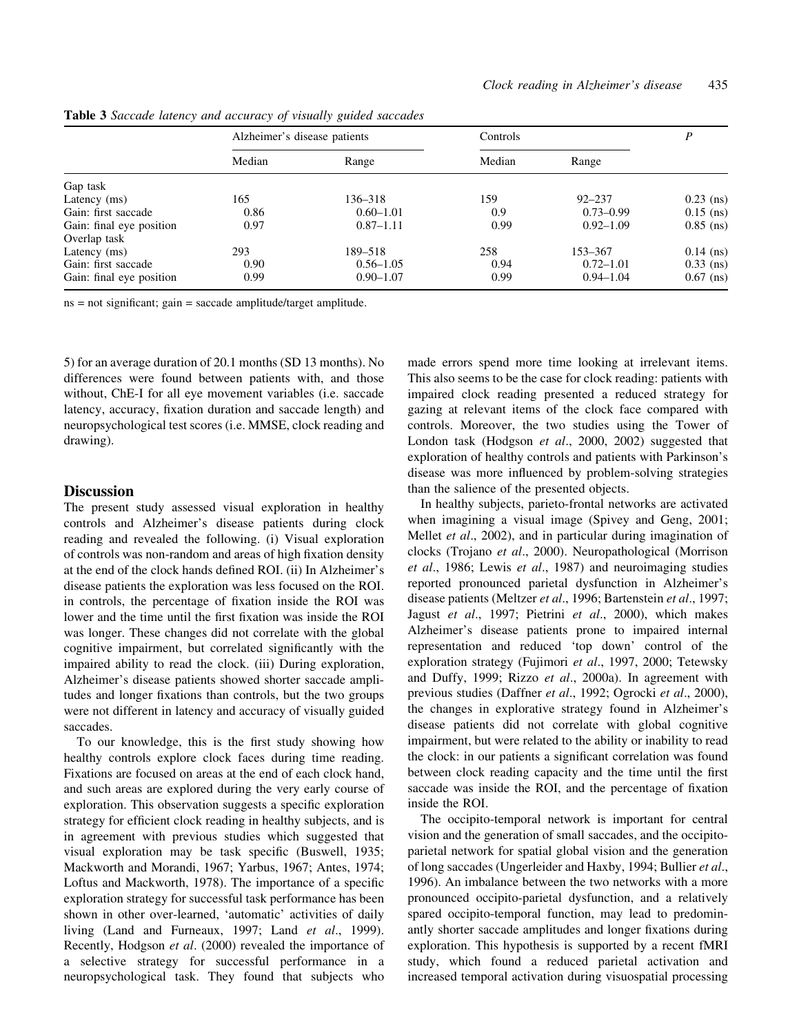|                          | Alzheimer's disease patients |               | Controls |               | P           |
|--------------------------|------------------------------|---------------|----------|---------------|-------------|
|                          | Median                       | Range         | Median   | Range         |             |
| Gap task                 |                              |               |          |               |             |
| Latency (ms)             | 165                          | 136–318       | 159      | $92 - 237$    | $0.23$ (ns) |
| Gain: first saccade      | 0.86                         | $0.60 - 1.01$ | 0.9      | $0.73 - 0.99$ | $0.15$ (ns) |
| Gain: final eye position | 0.97                         | $0.87 - 1.11$ | 0.99     | $0.92 - 1.09$ | $0.85$ (ns) |
| Overlap task             |                              |               |          |               |             |
| Latency (ms)             | 293                          | 189–518       | 258      | 153-367       | $0.14$ (ns) |
| Gain: first saccade      | 0.90                         | $0.56 - 1.05$ | 0.94     | $0.72 - 1.01$ | $0.33$ (ns) |
| Gain: final eye position | 0.99                         | $0.90 - 1.07$ | 0.99     | $0.94 - 1.04$ | $0.67$ (ns) |

Table 3 Saccade latency and accuracy of visually guided saccades

 $ns = not significant; gain = saccade amplitude/target amplitude.$ 

5) for an average duration of 20.1 months (SD 13 months). No differences were found between patients with, and those without, ChE-I for all eye movement variables (i.e. saccade latency, accuracy, fixation duration and saccade length) and neuropsychological test scores (i.e. MMSE, clock reading and drawing).

## **Discussion**

The present study assessed visual exploration in healthy controls and Alzheimer's disease patients during clock reading and revealed the following. (i) Visual exploration of controls was non-random and areas of high fixation density at the end of the clock hands defined ROI. (ii) In Alzheimer's disease patients the exploration was less focused on the ROI. in controls, the percentage of fixation inside the ROI was lower and the time until the first fixation was inside the ROI was longer. These changes did not correlate with the global cognitive impairment, but correlated significantly with the impaired ability to read the clock. (iii) During exploration, Alzheimer's disease patients showed shorter saccade amplitudes and longer fixations than controls, but the two groups were not different in latency and accuracy of visually guided saccades.

To our knowledge, this is the first study showing how healthy controls explore clock faces during time reading. Fixations are focused on areas at the end of each clock hand, and such areas are explored during the very early course of exploration. This observation suggests a specific exploration strategy for efficient clock reading in healthy subjects, and is in agreement with previous studies which suggested that visual exploration may be task specific (Buswell, 1935; Mackworth and Morandi, 1967; Yarbus, 1967; Antes, 1974; Loftus and Mackworth, 1978). The importance of a specific exploration strategy for successful task performance has been shown in other over-learned, 'automatic' activities of daily living (Land and Furneaux, 1997; Land et al., 1999). Recently, Hodgson et al. (2000) revealed the importance of a selective strategy for successful performance in a neuropsychological task. They found that subjects who

made errors spend more time looking at irrelevant items. This also seems to be the case for clock reading: patients with impaired clock reading presented a reduced strategy for gazing at relevant items of the clock face compared with controls. Moreover, the two studies using the Tower of London task (Hodgson et al., 2000, 2002) suggested that exploration of healthy controls and patients with Parkinson's disease was more influenced by problem-solving strategies than the salience of the presented objects.

In healthy subjects, parieto-frontal networks are activated when imagining a visual image (Spivey and Geng, 2001; Mellet et al., 2002), and in particular during imagination of clocks (Trojano et al., 2000). Neuropathological (Morrison et al., 1986; Lewis et al., 1987) and neuroimaging studies reported pronounced parietal dysfunction in Alzheimer's disease patients (Meltzer et al., 1996; Bartenstein et al., 1997; Jagust et al., 1997; Pietrini et al., 2000), which makes Alzheimer's disease patients prone to impaired internal representation and reduced `top down' control of the exploration strategy (Fujimori et al., 1997, 2000; Tetewsky and Duffy, 1999; Rizzo et al., 2000a). In agreement with previous studies (Daffner et al., 1992; Ogrocki et al., 2000), the changes in explorative strategy found in Alzheimer's disease patients did not correlate with global cognitive impairment, but were related to the ability or inability to read the clock: in our patients a significant correlation was found between clock reading capacity and the time until the first saccade was inside the ROI, and the percentage of fixation inside the ROI.

The occipito-temporal network is important for central vision and the generation of small saccades, and the occipitoparietal network for spatial global vision and the generation of long saccades (Ungerleider and Haxby, 1994; Bullier et al., 1996). An imbalance between the two networks with a more pronounced occipito-parietal dysfunction, and a relatively spared occipito-temporal function, may lead to predominantly shorter saccade amplitudes and longer fixations during exploration. This hypothesis is supported by a recent fMRI study, which found a reduced parietal activation and increased temporal activation during visuospatial processing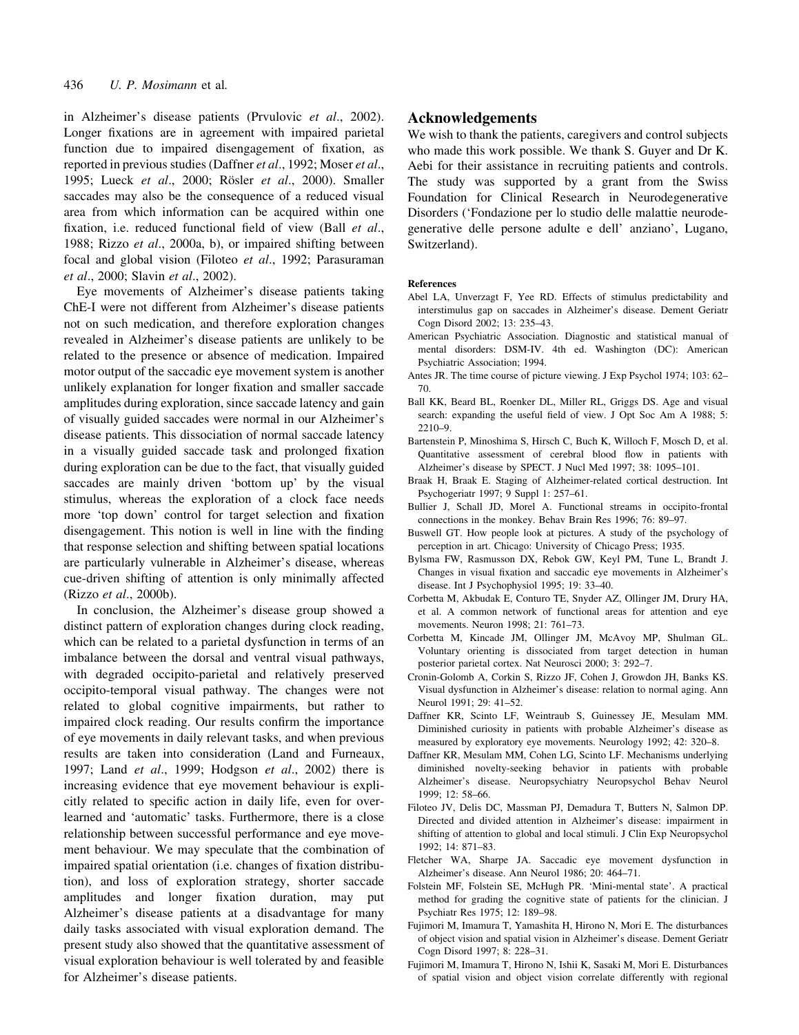in Alzheimer's disease patients (Prvulovic et al., 2002). Longer fixations are in agreement with impaired parietal function due to impaired disengagement of fixation, as reported in previous studies (Daffner et al., 1992; Moser et al., 1995; Lueck et al., 2000; Rösler et al., 2000). Smaller saccades may also be the consequence of a reduced visual area from which information can be acquired within one fixation, i.e. reduced functional field of view (Ball  $et$   $al$ ., 1988; Rizzo et al., 2000a, b), or impaired shifting between focal and global vision (Filoteo et al., 1992; Parasuraman et al., 2000; Slavin et al., 2002).

Eye movements of Alzheimer's disease patients taking ChE-I were not different from Alzheimer's disease patients not on such medication, and therefore exploration changes revealed in Alzheimer's disease patients are unlikely to be related to the presence or absence of medication. Impaired motor output of the saccadic eye movement system is another unlikely explanation for longer fixation and smaller saccade amplitudes during exploration, since saccade latency and gain of visually guided saccades were normal in our Alzheimer's disease patients. This dissociation of normal saccade latency in a visually guided saccade task and prolonged fixation during exploration can be due to the fact, that visually guided saccades are mainly driven 'bottom up' by the visual stimulus, whereas the exploration of a clock face needs more 'top down' control for target selection and fixation disengagement. This notion is well in line with the finding that response selection and shifting between spatial locations are particularly vulnerable in Alzheimer's disease, whereas cue-driven shifting of attention is only minimally affected (Rizzo et al., 2000b).

In conclusion, the Alzheimer's disease group showed a distinct pattern of exploration changes during clock reading, which can be related to a parietal dysfunction in terms of an imbalance between the dorsal and ventral visual pathways, with degraded occipito-parietal and relatively preserved occipito-temporal visual pathway. The changes were not related to global cognitive impairments, but rather to impaired clock reading. Our results confirm the importance of eye movements in daily relevant tasks, and when previous results are taken into consideration (Land and Furneaux, 1997; Land et al., 1999; Hodgson et al., 2002) there is increasing evidence that eye movement behaviour is explicitly related to specific action in daily life, even for overlearned and 'automatic' tasks. Furthermore, there is a close relationship between successful performance and eye movement behaviour. We may speculate that the combination of impaired spatial orientation (i.e. changes of fixation distribution), and loss of exploration strategy, shorter saccade amplitudes and longer fixation duration, may put Alzheimer's disease patients at a disadvantage for many daily tasks associated with visual exploration demand. The present study also showed that the quantitative assessment of visual exploration behaviour is well tolerated by and feasible for Alzheimer's disease patients.

## Acknowledgements

We wish to thank the patients, caregivers and control subjects who made this work possible. We thank S. Guyer and Dr K. Aebi for their assistance in recruiting patients and controls. The study was supported by a grant from the Swiss Foundation for Clinical Research in Neurodegenerative Disorders (`Fondazione per lo studio delle malattie neurodegenerative delle persone adulte e dell' anziano', Lugano, Switzerland).

#### References

- Abel LA, Unverzagt F, Yee RD. Effects of stimulus predictability and interstimulus gap on saccades in Alzheimer's disease. Dement Geriatr Cogn Disord 2002; 13: 235-43.
- American Psychiatric Association. Diagnostic and statistical manual of mental disorders: DSM-IV. 4th ed. Washington (DC): American Psychiatric Association; 1994.
- Antes JR. The time course of picture viewing. J Exp Psychol 1974; 103: 62– 70.
- Ball KK, Beard BL, Roenker DL, Miller RL, Griggs DS. Age and visual search: expanding the useful field of view. J Opt Soc Am A 1988; 5: 2210±9.
- Bartenstein P, Minoshima S, Hirsch C, Buch K, Willoch F, Mosch D, et al. Quantitative assessment of cerebral blood flow in patients with Alzheimer's disease by SPECT. J Nucl Med 1997; 38: 1095-101.
- Braak H, Braak E. Staging of Alzheimer-related cortical destruction. Int Psychogeriatr 1997; 9 Suppl 1: 257-61.
- Bullier J, Schall JD, Morel A. Functional streams in occipito-frontal connections in the monkey. Behav Brain Res 1996; 76: 89-97.
- Buswell GT. How people look at pictures. A study of the psychology of perception in art. Chicago: University of Chicago Press; 1935.
- Bylsma FW, Rasmusson DX, Rebok GW, Keyl PM, Tune L, Brandt J. Changes in visual fixation and saccadic eye movements in Alzheimer's disease. Int J Psychophysiol 1995; 19: 33-40.
- Corbetta M, Akbudak E, Conturo TE, Snyder AZ, Ollinger JM, Drury HA, et al. A common network of functional areas for attention and eye movements. Neuron 1998; 21: 761-73.
- Corbetta M, Kincade JM, Ollinger JM, McAvoy MP, Shulman GL. Voluntary orienting is dissociated from target detection in human posterior parietal cortex. Nat Neurosci 2000; 3: 292-7.
- Cronin-Golomb A, Corkin S, Rizzo JF, Cohen J, Growdon JH, Banks KS. Visual dysfunction in Alzheimer's disease: relation to normal aging. Ann Neurol 1991; 29: 41-52.
- Daffner KR, Scinto LF, Weintraub S, Guinessey JE, Mesulam MM. Diminished curiosity in patients with probable Alzheimer's disease as measured by exploratory eye movements. Neurology 1992; 42: 320-8.
- Daffner KR, Mesulam MM, Cohen LG, Scinto LF. Mechanisms underlying diminished novelty-seeking behavior in patients with probable Alzheimer's disease. Neuropsychiatry Neuropsychol Behav Neurol  $1999: 12: 58–66.$
- Filoteo JV, Delis DC, Massman PJ, Demadura T, Butters N, Salmon DP. Directed and divided attention in Alzheimer's disease: impairment in shifting of attention to global and local stimuli. J Clin Exp Neuropsychol 1992; 14: 871-83.
- Fletcher WA, Sharpe JA. Saccadic eye movement dysfunction in Alzheimer's disease. Ann Neurol 1986; 20: 464-71.
- Folstein MF, Folstein SE, McHugh PR. `Mini-mental state'. A practical method for grading the cognitive state of patients for the clinician. J Psychiatr Res 1975; 12: 189-98.
- Fujimori M, Imamura T, Yamashita H, Hirono N, Mori E. The disturbances of object vision and spatial vision in Alzheimer's disease. Dement Geriatr Cogn Disord 1997; 8: 228-31.
- Fujimori M, Imamura T, Hirono N, Ishii K, Sasaki M, Mori E. Disturbances of spatial vision and object vision correlate differently with regional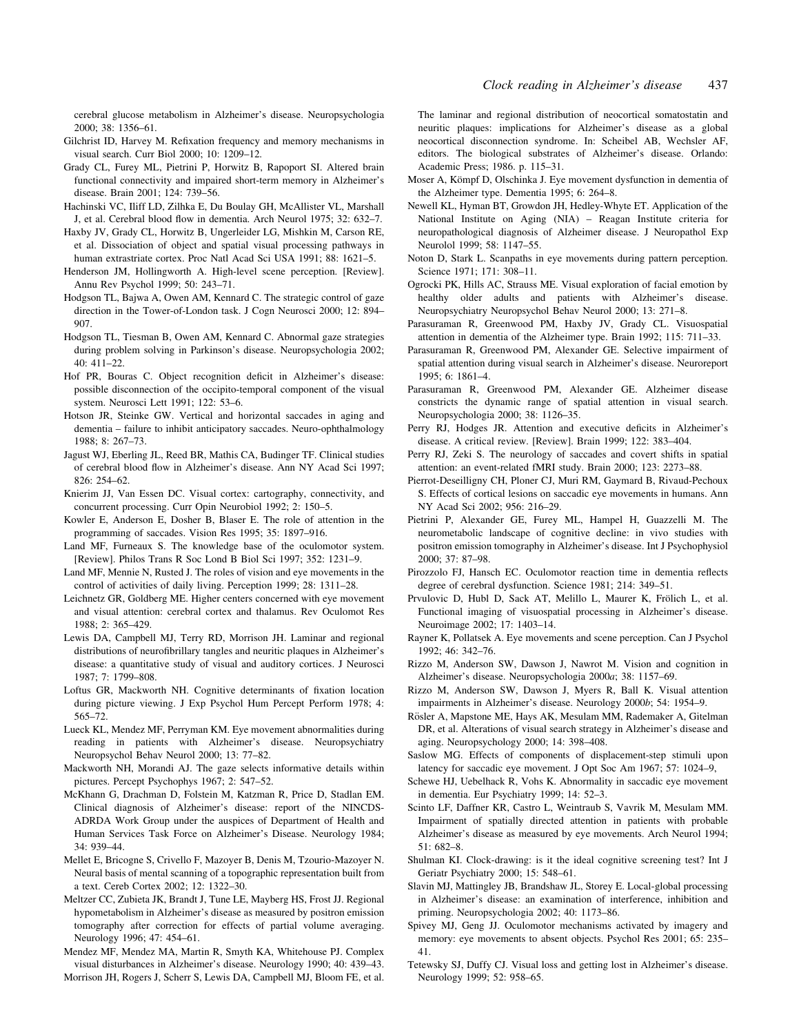cerebral glucose metabolism in Alzheimer's disease. Neuropsychologia 2000; 38: 1356-61.

- Gilchrist ID, Harvey M. Refixation frequency and memory mechanisms in visual search. Curr Biol 2000; 10: 1209-12.
- Grady CL, Furey ML, Pietrini P, Horwitz B, Rapoport SI. Altered brain functional connectivity and impaired short-term memory in Alzheimer's disease. Brain 2001; 124: 739-56.
- Hachinski VC, Iliff LD, Zilhka E, Du Boulay GH, McAllister VL, Marshall J, et al. Cerebral blood flow in dementia. Arch Neurol 1975; 32: 632-7.
- Haxby JV, Grady CL, Horwitz B, Ungerleider LG, Mishkin M, Carson RE, et al. Dissociation of object and spatial visual processing pathways in human extrastriate cortex. Proc Natl Acad Sci USA 1991; 88: 1621-5.
- Henderson JM, Hollingworth A. High-level scene perception. [Review]. Annu Rev Psychol 1999; 50: 243-71.
- Hodgson TL, Bajwa A, Owen AM, Kennard C. The strategic control of gaze direction in the Tower-of-London task. J Cogn Neurosci 2000; 12: 894-907.
- Hodgson TL, Tiesman B, Owen AM, Kennard C. Abnormal gaze strategies during problem solving in Parkinson's disease. Neuropsychologia 2002;  $40:411-22.$
- Hof PR, Bouras C. Object recognition deficit in Alzheimer's disease: possible disconnection of the occipito-temporal component of the visual system. Neurosci Lett 1991; 122: 53-6.
- Hotson JR, Steinke GW. Vertical and horizontal saccades in aging and dementia - failure to inhibit anticipatory saccades. Neuro-ophthalmology 1988; 8: 267-73.
- Jagust WJ, Eberling JL, Reed BR, Mathis CA, Budinger TF. Clinical studies of cerebral blood flow in Alzheimer's disease. Ann NY Acad Sci 1997; 826: 254-62.
- Knierim JJ, Van Essen DC. Visual cortex: cartography, connectivity, and concurrent processing. Curr Opin Neurobiol 1992; 2: 150-5.
- Kowler E, Anderson E, Dosher B, Blaser E. The role of attention in the programming of saccades. Vision Res 1995; 35: 1897-916.
- Land MF, Furneaux S. The knowledge base of the oculomotor system. [Review]. Philos Trans R Soc Lond B Biol Sci 1997; 352: 1231-9.
- Land MF, Mennie N, Rusted J. The roles of vision and eye movements in the control of activities of daily living. Perception 1999; 28: 1311-28.
- Leichnetz GR, Goldberg ME. Higher centers concerned with eye movement and visual attention: cerebral cortex and thalamus. Rev Oculomot Res 1988; 2: 365±429.
- Lewis DA, Campbell MJ, Terry RD, Morrison JH. Laminar and regional distributions of neurofibrillary tangles and neuritic plaques in Alzheimer's disease: a quantitative study of visual and auditory cortices. J Neurosci 1987: 7: 1799-808.
- Loftus GR, Mackworth NH. Cognitive determinants of fixation location during picture viewing. J Exp Psychol Hum Percept Perform 1978; 4: 565±72.
- Lueck KL, Mendez MF, Perryman KM. Eye movement abnormalities during reading in patients with Alzheimer's disease. Neuropsychiatry Neuropsychol Behav Neurol 2000; 13: 77-82.
- Mackworth NH, Morandi AJ. The gaze selects informative details within pictures. Percept Psychophys 1967; 2: 547-52.
- McKhann G, Drachman D, Folstein M, Katzman R, Price D, Stadlan EM. Clinical diagnosis of Alzheimer's disease: report of the NINCDS-ADRDA Work Group under the auspices of Department of Health and Human Services Task Force on Alzheimer's Disease. Neurology 1984; 34: 939-44.
- Mellet E, Bricogne S, Crivello F, Mazoyer B, Denis M, Tzourio-Mazoyer N. Neural basis of mental scanning of a topographic representation built from a text. Cereb Cortex 2002; 12: 1322-30.
- Meltzer CC, Zubieta JK, Brandt J, Tune LE, Mayberg HS, Frost JJ. Regional hypometabolism in Alzheimer's disease as measured by positron emission tomography after correction for effects of partial volume averaging. Neurology 1996; 47: 454-61.
- Mendez MF, Mendez MA, Martin R, Smyth KA, Whitehouse PJ. Complex visual disturbances in Alzheimer's disease. Neurology 1990; 40: 439-43. Morrison JH, Rogers J, Scherr S, Lewis DA, Campbell MJ, Bloom FE, et al.

The laminar and regional distribution of neocortical somatostatin and neuritic plaques: implications for Alzheimer's disease as a global neocortical disconnection syndrome. In: Scheibel AB, Wechsler AF, editors. The biological substrates of Alzheimer's disease. Orlando: Academic Press; 1986. p. 115-31.

- Moser A, Kömpf D, Olschinka J. Eye movement dysfunction in dementia of the Alzheimer type. Dementia 1995; 6:  $264-8$ .
- Newell KL, Hyman BT, Growdon JH, Hedley-Whyte ET. Application of the National Institute on Aging (NIA) - Reagan Institute criteria for neuropathological diagnosis of Alzheimer disease. J Neuropathol Exp Neurolol 1999; 58: 1147-55.
- Noton D, Stark L. Scanpaths in eye movements during pattern perception. Science 1971; 171: 308-11.
- Ogrocki PK, Hills AC, Strauss ME. Visual exploration of facial emotion by healthy older adults and patients with Alzheimer's disease. Neuropsychiatry Neuropsychol Behav Neurol 2000; 13: 271-8.
- Parasuraman R, Greenwood PM, Haxby JV, Grady CL. Visuospatial attention in dementia of the Alzheimer type. Brain 1992; 115: 711-33.
- Parasuraman R, Greenwood PM, Alexander GE. Selective impairment of spatial attention during visual search in Alzheimer's disease. Neuroreport  $1995: 6: 1861-4$
- Parasuraman R, Greenwood PM, Alexander GE. Alzheimer disease constricts the dynamic range of spatial attention in visual search. Neuropsychologia 2000; 38: 1126-35.
- Perry RJ, Hodges JR. Attention and executive deficits in Alzheimer's disease. A critical review. [Review]. Brain 1999; 122: 383-404.
- Perry RJ, Zeki S. The neurology of saccades and covert shifts in spatial attention: an event-related fMRI study. Brain 2000; 123: 2273-88.
- Pierrot-Deseilligny CH, Ploner CJ, Muri RM, Gaymard B, Rivaud-Pechoux S. Effects of cortical lesions on saccadic eye movements in humans. Ann NY Acad Sci 2002; 956: 216-29.
- Pietrini P, Alexander GE, Furey ML, Hampel H, Guazzelli M. The neurometabolic landscape of cognitive decline: in vivo studies with positron emission tomography in Alzheimer's disease. Int J Psychophysiol 2000; 37: 87±98.
- Pirozzolo FJ, Hansch EC. Oculomotor reaction time in dementia reflects degree of cerebral dysfunction. Science 1981; 214: 349-51.
- Prvulovic D, Hubl D, Sack AT, Melillo L, Maurer K, Frölich L, et al. Functional imaging of visuospatial processing in Alzheimer's disease. Neuroimage 2002; 17: 1403-14.
- Rayner K, Pollatsek A. Eye movements and scene perception. Can J Psychol 1992; 46: 342-76.
- Rizzo M, Anderson SW, Dawson J, Nawrot M. Vision and cognition in Alzheimer's disease. Neuropsychologia 2000a; 38: 1157-69.
- Rizzo M, Anderson SW, Dawson J, Myers R, Ball K. Visual attention impairments in Alzheimer's disease. Neurology 2000b; 54: 1954-9.
- Rösler A, Mapstone ME, Hays AK, Mesulam MM, Rademaker A, Gitelman DR, et al. Alterations of visual search strategy in Alzheimer's disease and aging. Neuropsychology 2000; 14: 398-408.
- Saslow MG. Effects of components of displacement-step stimuli upon latency for saccadic eye movement. J Opt Soc Am 1967; 57: 1024-9,
- Schewe HJ, Uebelhack R, Vohs K. Abnormality in saccadic eye movement in dementia. Eur Psychiatry 1999; 14: 52-3.
- Scinto LF, Daffner KR, Castro L, Weintraub S, Vavrik M, Mesulam MM. Impairment of spatially directed attention in patients with probable Alzheimer's disease as measured by eye movements. Arch Neurol 1994;  $51:682-8.$
- Shulman KI. Clock-drawing: is it the ideal cognitive screening test? Int J Geriatr Psychiatry 2000; 15: 548-61.
- Slavin MJ, Mattingley JB, Brandshaw JL, Storey E. Local-global processing in Alzheimer's disease: an examination of interference, inhibition and priming. Neuropsychologia 2002; 40: 1173-86.
- Spivey MJ, Geng JJ. Oculomotor mechanisms activated by imagery and memory: eye movements to absent objects. Psychol Res 2001; 65: 235– 41.
- Tetewsky SJ, Duffy CJ. Visual loss and getting lost in Alzheimer's disease. Neurology 1999; 52: 958-65.